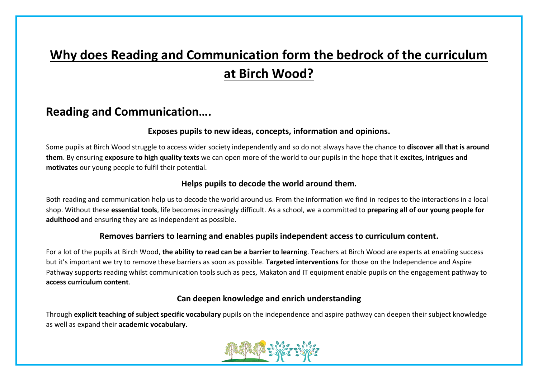# **Why does Reading and Communication form the bedrock of the curriculum at Birch Wood?**

### **Reading and Communication….**

#### **Exposes pupils to new ideas, concepts, information and opinions.**

Some pupils at Birch Wood struggle to access wider society independently and so do not always have the chance to **discover all that is around them**. By ensuring **exposure to high quality texts** we can open more of the world to our pupils in the hope that it **excites, intrigues and motivates** our young people to fulfil their potential.

#### **Helps pupils to decode the world around them.**

Both reading and communication help us to decode the world around us. From the information we find in recipes to the interactions in a local shop. Without these **essential tools**, life becomes increasingly difficult. As a school, we a committed to **preparing all of our young people for adulthood** and ensuring they are as independent as possible.

#### **Removes barriers to learning and enables pupils independent access to curriculum content.**

For a lot of the pupils at Birch Wood, **the ability to read can be a barrier to learning**. Teachers at Birch Wood are experts at enabling success but it's important we try to remove these barriers as soon as possible. **Targeted interventions** for those on the Independence and Aspire Pathway supports reading whilst communication tools such as pecs, Makaton and IT equipment enable pupils on the engagement pathway to **access curriculum content**.

#### **Can deepen knowledge and enrich understanding**

Through **explicit teaching of subject specific vocabulary** pupils on the independence and aspire pathway can deepen their subject knowledge as well as expand their **academic vocabulary.**